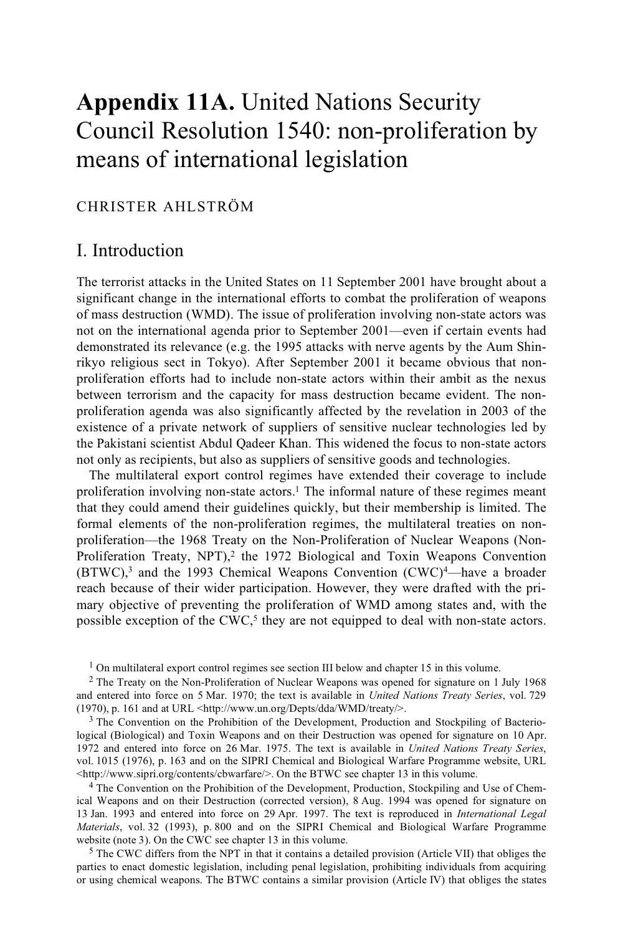# **Appendix 11A.** United Nations Security Council Resolution 1540: non-proliferation by means of international legislation

### CHRISTER AHLSTRÖM

# I. Introduction

The terrorist attacks in the United States on 11 September 2001 have brought about a significant change in the international efforts to combat the proliferation of weapons of mass destruction (WMD). The issue of proliferation involving non-state actors was not on the international agenda prior to September 2001—even if certain events had demonstrated its relevance (e.g. the 1995 attacks with nerve agents by the Aum Shinrikyo religious sect in Tokyo). After September 2001 it became obvious that nonproliferation efforts had to include non-state actors within their ambit as the nexus between terrorism and the capacity for mass destruction became evident. The nonproliferation agenda was also significantly affected by the revelation in 2003 of the existence of a private network of suppliers of sensitive nuclear technologies led by the Pakistani scientist Abdul Qadeer Khan. This widened the focus to non-state actors not only as recipients, but also as suppliers of sensitive goods and technologies.

The multilateral export control regimes have extended their coverage to include proliferation involving non-state actors.<sup>1</sup> The informal nature of these regimes meant that they could amend their guidelines quickly, but their membership is limited. The formal elements of the non-proliferation regimes, the multilateral treaties on nonproliferation—the 1968 Treaty on the Non-Proliferation of Nuclear Weapons (Non-Proliferation Treaty, NPT), $2$  the 1972 Biological and Toxin Weapons Convention  $(BTWC)<sup>3</sup>$  and the 1993 Chemical Weapons Convention  $(CWC)<sup>4</sup>$ —have a broader reach because of their wider participation. However, they were drafted with the primary objective of preventing the proliferation of WMD among states and, with the possible exception of the CWC, $5$  they are not equipped to deal with non-state actors.

 $3$  The Convention on the Prohibition of the Development, Production and Stockpiling of Bacteriological (Biological) and Toxin Weapons and on their Destruction was opened for signature on 10 Apr. 1972 and entered into force on 26 Mar. 1975. The text is available in *United Nations Treaty Series*, vol. 1015 (1976), p. 163 and on the SIPRI Chemical and Biological Warfare Programme website, URL <http://www.sipri.org/contents/cbwarfare/>. On the BTWC see chapter 13 in this volume.

<sup>4</sup> The Convention on the Prohibition of the Development, Production, Stockpiling and Use of Chemical Weapons and on their Destruction (corrected version), 8 Aug. 1994 was opened for signature on 13 Jan. 1993 and entered into force on 29 Apr. 1997. The text is reproduced in *International Legal Materials*, vol. 32 (1993), p. 800 and on the SIPRI Chemical and Biological Warfare Programme website (note 3). On the CWC see chapter 13 in this volume.

 $5$  The CWC differs from the NPT in that it contains a detailed provision (Article VII) that obliges the parties to enact domestic legislation, including penal legislation, prohibiting individuals from acquiring or using chemical weapons. The BTWC contains a similar provision (Article IV) that obliges the states

<sup>&</sup>lt;sup>1</sup> On multilateral export control regimes see section III below and chapter 15 in this volume.

<sup>2</sup> The Treaty on the Non-Proliferation of Nuclear Weapons was opened for signature on 1 July 1968 and entered into force on 5 Mar. 1970; the text is available in *United Nations Treaty Series*, vol. 729 (1970), p. 161 and at URL <http://www.un.org/Depts/dda/WMD/treaty/>.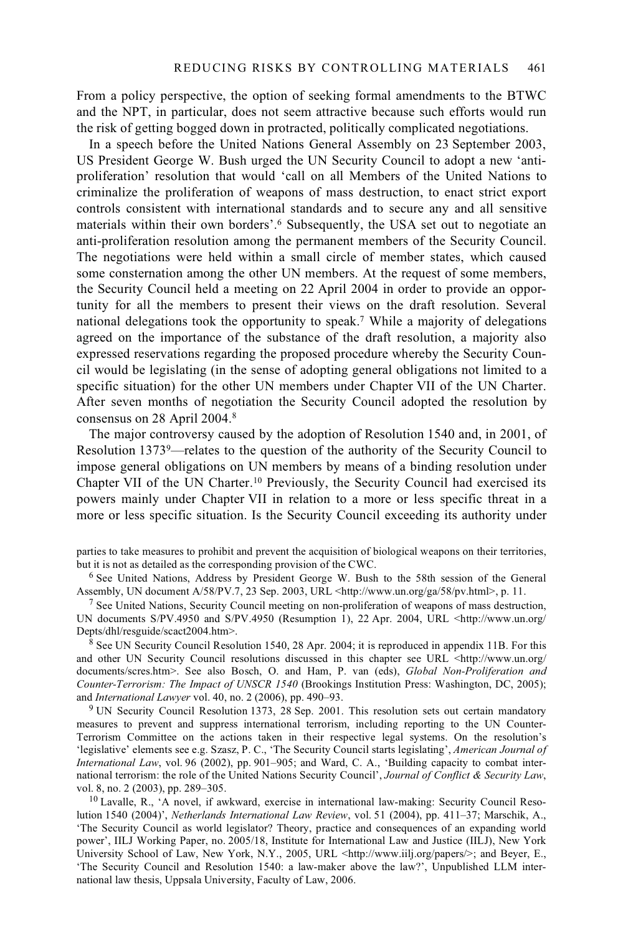From a policy perspective, the option of seeking formal amendments to the BTWC and the NPT, in particular, does not seem attractive because such efforts would run the risk of getting bogged down in protracted, politically complicated negotiations.

In a speech before the United Nations General Assembly on 23 September 2003, US President George W. Bush urged the UN Security Council to adopt a new 'antiproliferation' resolution that would 'call on all Members of the United Nations to criminalize the proliferation of weapons of mass destruction, to enact strict export controls consistent with international standards and to secure any and all sensitive materials within their own borders'.6 Subsequently, the USA set out to negotiate an anti-proliferation resolution among the permanent members of the Security Council. The negotiations were held within a small circle of member states, which caused some consternation among the other UN members. At the request of some members, the Security Council held a meeting on 22 April 2004 in order to provide an opportunity for all the members to present their views on the draft resolution. Several national delegations took the opportunity to speak.7 While a majority of delegations agreed on the importance of the substance of the draft resolution, a majority also expressed reservations regarding the proposed procedure whereby the Security Council would be legislating (in the sense of adopting general obligations not limited to a specific situation) for the other UN members under Chapter VII of the UN Charter. After seven months of negotiation the Security Council adopted the resolution by consensus on 28 April 2004.8

The major controversy caused by the adoption of Resolution 1540 and, in 2001, of Resolution 13739—relates to the question of the authority of the Security Council to impose general obligations on UN members by means of a binding resolution under Chapter VII of the UN Charter.10 Previously, the Security Council had exercised its powers mainly under Chapter VII in relation to a more or less specific threat in a more or less specific situation. Is the Security Council exceeding its authority under

parties to take measures to prohibit and prevent the acquisition of biological weapons on their territories,

but it is not as detailed as the corresponding provision of the CWC.<br><sup>6</sup> See United Nations, Address by President George W. Bush to the 58th session of the General<br>Assembly, UN document A/58/PV.7, 23 Sep. 2003, URL <http:/

<sup>7</sup> See United Nations, Security Council meeting on non-proliferation of weapons of mass destruction, UN documents S/PV.4950 and S/PV.4950 (Resumption 1), 22 Apr. 2004, URL <http://www.un.org/<br>Depts/dhl/resguide/scact2004.htm>.

 $8$  See UN Security Council Resolution 1540, 28 Apr. 2004; it is reproduced in appendix 11B. For this and other UN Security Council resolutions discussed in this chapter see URL <http://www.un.org/ documents/scres.htm>. See also Bosch, O. and Ham, P. van (eds), *Global Non-Proliferation and Counter-Terrorism: The Impact of UNSCR 1540* (Brookings Institution Press: Washington, DC, 2005);

<sup>9</sup> UN Security Council Resolution 1373, 28 Sep. 2001. This resolution sets out certain mandatory measures to prevent and suppress international terrorism, including reporting to the UN Counter-Terrorism Committee on the actions taken in their respective legal systems. On the resolution's 'legislative' elements see e.g. Szasz, P. C., 'The Security Council starts legislating', *American Journal of International Law*, vol. 96 (2002), pp. 901–905; and Ward, C. A., 'Building capacity to combat international terrorism: the role of the United Nations Security Council', *Journal of Conflict & Security Law*,

 $^{10}$  Lavalle, R., 'A novel, if awkward, exercise in international law-making: Security Council Resolution 1540 (2004)', *Netherlands International Law Review*, vol. 51 (2004), pp. 411–37; Marschik, A., 'The Security Council as world legislator? Theory, practice and consequences of an expanding world power', IILJ Working Paper, no. 2005/18, Institute for International Law and Justice (IILJ), New York University School of Law, New York, N.Y., 2005, URL <http://www.iilj.org/papers/>; and Beyer, E., 'The Security Council and Resolution 1540: a law-maker above the law?', Unpublished LLM international law thesis, Uppsala University, Faculty of Law, 2006.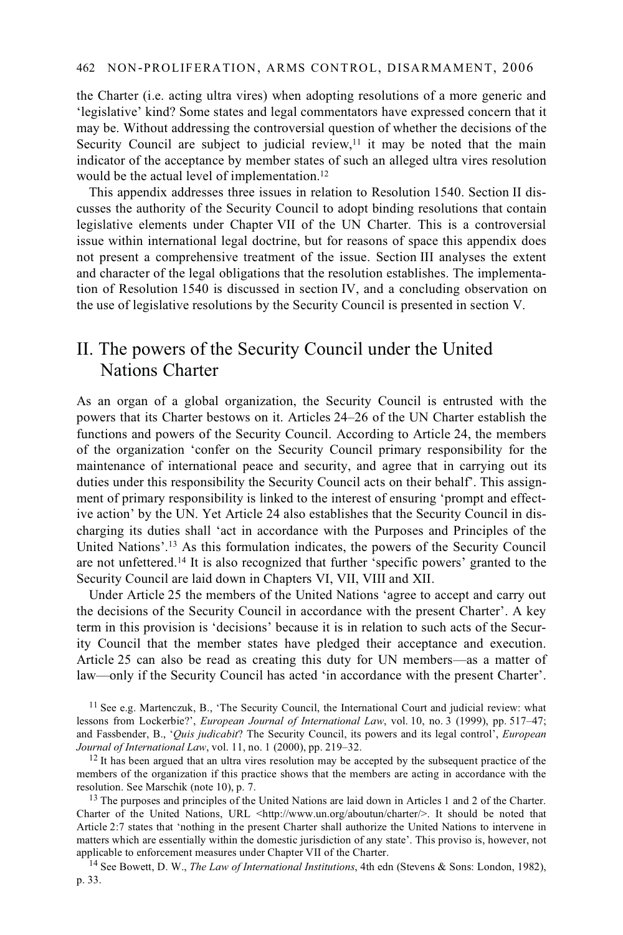the Charter (i.e. acting ultra vires) when adopting resolutions of a more generic and 'legislative' kind? Some states and legal commentators have expressed concern that it may be. Without addressing the controversial question of whether the decisions of the Security Council are subject to judicial review,<sup>11</sup> it may be noted that the main indicator of the acceptance by member states of such an alleged ultra vires resolution would be the actual level of implementation.<sup>12</sup>

This appendix addresses three issues in relation to Resolution 1540. Section II discusses the authority of the Security Council to adopt binding resolutions that contain legislative elements under Chapter VII of the UN Charter. This is a controversial issue within international legal doctrine, but for reasons of space this appendix does not present a comprehensive treatment of the issue. Section III analyses the extent and character of the legal obligations that the resolution establishes. The implementation of Resolution 1540 is discussed in section IV, and a concluding observation on the use of legislative resolutions by the Security Council is presented in section V.

# II. The powers of the Security Council under the United Nations Charter

As an organ of a global organization, the Security Council is entrusted with the powers that its Charter bestows on it. Articles 24–26 of the UN Charter establish the functions and powers of the Security Council. According to Article 24, the members of the organization 'confer on the Security Council primary responsibility for the maintenance of international peace and security, and agree that in carrying out its duties under this responsibility the Security Council acts on their behalf'. This assignment of primary responsibility is linked to the interest of ensuring 'prompt and effective action' by the UN. Yet Article 24 also establishes that the Security Council in discharging its duties shall 'act in accordance with the Purposes and Principles of the United Nations'.13 As this formulation indicates, the powers of the Security Council are not unfettered.14 It is also recognized that further 'specific powers' granted to the Security Council are laid down in Chapters VI, VII, VIII and XII.

Under Article 25 the members of the United Nations 'agree to accept and carry out the decisions of the Security Council in accordance with the present Charter'. A key term in this provision is 'decisions' because it is in relation to such acts of the Security Council that the member states have pledged their acceptance and execution. Article 25 can also be read as creating this duty for UN members—as a matter of law—only if the Security Council has acted 'in accordance with the present Charter'.

 $11$  See e.g. Martenczuk, B., 'The Security Council, the International Court and judicial review: what lessons from Lockerbie?', *European Journal of International Law*, vol. 10, no. 3 (1999), pp. 517–47; and Fassbender, B., '*Quis judicabit*? The Security Council, its powers and its legal control<sup>3</sup>, *European Journal of International Law*, vol. 11, no. 1 (2000), pp. 219–32.

<sup>12</sup> It has been argued that an ultra vires resolution may be accepted by the subsequent practice of the members of the organization if this practice shows that the members are acting in accordance with the resolution. See Marschik (note 10), p. 7.

<sup>13</sup> The purposes and principles of the United Nations are laid down in Articles 1 and 2 of the Charter. Charter of the United Nations, URL <http://www.un.org/aboutun/charter/>. It should be noted that Article 2:7 states that 'nothing in the present Charter shall authorize the United Nations to intervene in matters which are essentially within the domestic jurisdiction of any state'. This proviso is, however, not applicable to enforcement measures under Chapter VII of the Charter.

<sup>14</sup> See Bowett, D. W., *The Law of International Institutions*, 4th edn (Stevens & Sons: London, 1982), p. 33.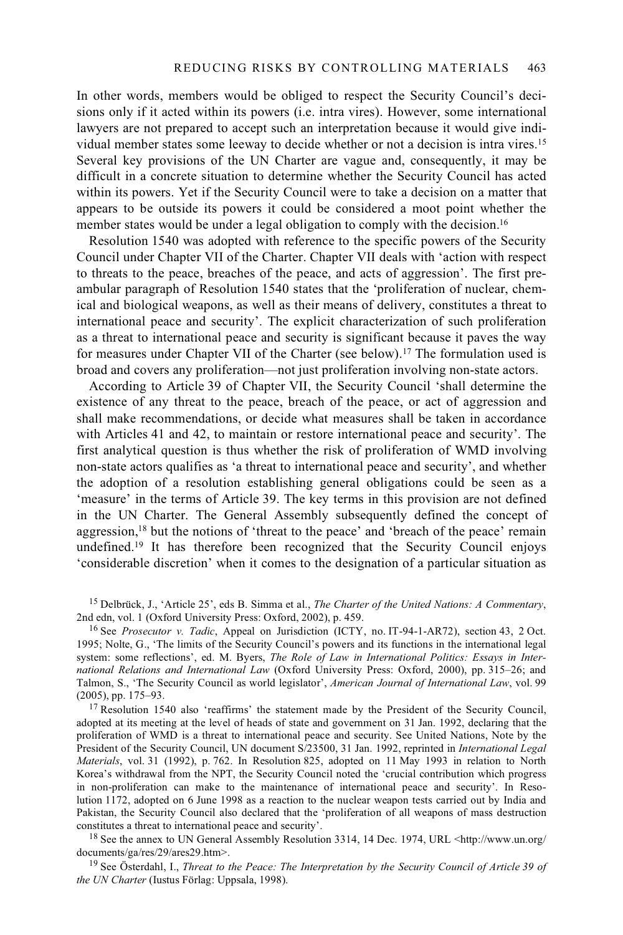In other words, members would be obliged to respect the Security Council's decisions only if it acted within its powers (i.e. intra vires). However, some international lawyers are not prepared to accept such an interpretation because it would give individual member states some leeway to decide whether or not a decision is intra vires.15 Several key provisions of the UN Charter are vague and, consequently, it may be difficult in a concrete situation to determine whether the Security Council has acted within its powers. Yet if the Security Council were to take a decision on a matter that appears to be outside its powers it could be considered a moot point whether the member states would be under a legal obligation to comply with the decision.<sup>16</sup>

Resolution 1540 was adopted with reference to the specific powers of the Security Council under Chapter VII of the Charter. Chapter VII deals with 'action with respect to threats to the peace, breaches of the peace, and acts of aggression'. The first preambular paragraph of Resolution 1540 states that the 'proliferation of nuclear, chemical and biological weapons, as well as their means of delivery, constitutes a threat to international peace and security'. The explicit characterization of such proliferation as a threat to international peace and security is significant because it paves the way for measures under Chapter VII of the Charter (see below).<sup>17</sup> The formulation used is broad and covers any proliferation—not just proliferation involving non-state actors.

According to Article 39 of Chapter VII, the Security Council 'shall determine the existence of any threat to the peace, breach of the peace, or act of aggression and shall make recommendations, or decide what measures shall be taken in accordance with Articles 41 and 42, to maintain or restore international peace and security'. The first analytical question is thus whether the risk of proliferation of WMD involving non-state actors qualifies as 'a threat to international peace and security', and whether the adoption of a resolution establishing general obligations could be seen as a 'measure' in the terms of Article 39. The key terms in this provision are not defined in the UN Charter. The General Assembly subsequently defined the concept of aggression,<sup>18</sup> but the notions of 'threat to the peace' and 'breach of the peace' remain undefined.<sup>19</sup> It has therefore been recognized that the Security Council enjoys 'considerable discretion' when it comes to the designation of a particular situation as

<sup>15</sup> Delbrück, J., 'Article 25', eds B. Simma et al., *The Charter of the United Nations: A Commentary*, 2nd edn, vol. 1 (Oxford University Press: Oxford, 2002), p. 459.

<sup>16</sup> See *Prosecutor v. Tadic*, Appeal on Jurisdiction (ICTY, no. IT-94-1-AR72), section 43, 2 Oct. 1995; Nolte, G., 'The limits of the Security Council's powers and its functions in the international legal system: some reflections', ed. M. Byers, *The Role of Law in International Politics: Essays in International Relations and International Law* (Oxford University Press: Oxford, 2000), pp. 315–26; and Talmon, S., 'The Security Council as world legislator', *American Journal of International Law*, vol. 99 (2005), pp. 175–93.<br><sup>17</sup> Resolution 1540 also 'reaffirms' the statement made by the President of the Security Council,

adopted at its meeting at the level of heads of state and government on 31 Jan. 1992, declaring that the proliferation of WMD is a threat to international peace and security. See United Nations, Note by the President of the Security Council, UN document S/23500, 31 Jan. 1992, reprinted in *International Legal Materials*, vol. 31 (1992), p. 762. In Resolution 825, adopted on 11 May 1993 in relation to North Korea's withdrawal from the NPT, the Security Council noted the 'crucial contribution which progress in non-proliferation can make to the maintenance of international peace and security'. In Resolution 1172, adopted on 6 June 1998 as a reaction to the nuclear weapon tests carried out by India and Pakistan, the Security Council also declared that the 'proliferation of all weapons of mass destruction

constitutes a threat to international peace and security'.<br><sup>18</sup> See the annex to UN General Assembly Resolution 3314, 14 Dec. 1974, URL <http://www.un.org/<br>documents/ga/res/29/ares29.htm>.

<sup>19</sup> See Österdahl, I., *Threat to the Peace: The Interpretation by the Security Council of Article 39 of the UN Charter* (Iustus Förlag: Uppsala, 1998).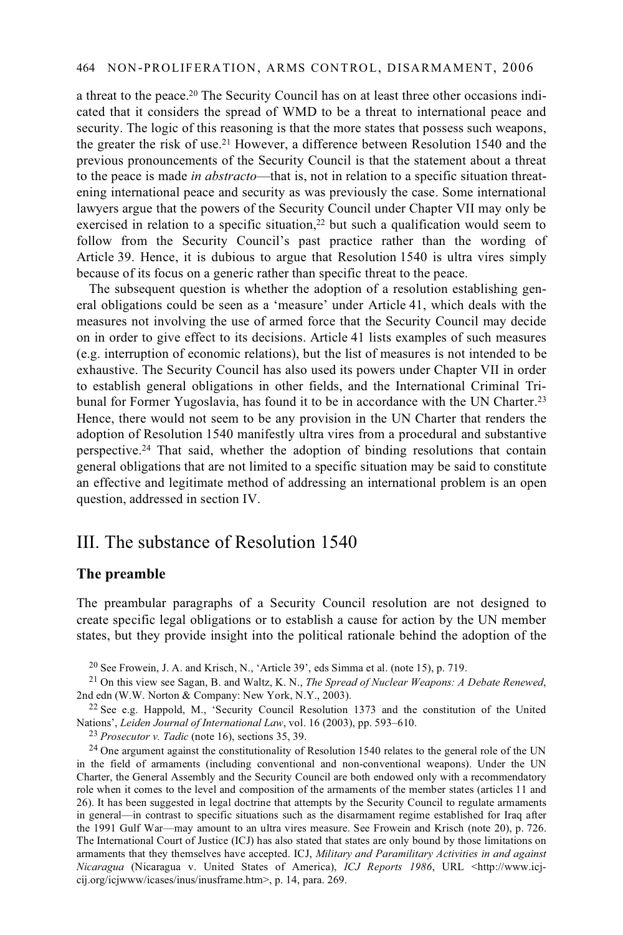a threat to the peace.20 The Security Council has on at least three other occasions indicated that it considers the spread of WMD to be a threat to international peace and security. The logic of this reasoning is that the more states that possess such weapons, the greater the risk of use.21 However, a difference between Resolution 1540 and the previous pronouncements of the Security Council is that the statement about a threat to the peace is made *in abstracto*—that is, not in relation to a specific situation threatening international peace and security as was previously the case. Some international lawyers argue that the powers of the Security Council under Chapter VII may only be exercised in relation to a specific situation, $22$  but such a qualification would seem to follow from the Security Council's past practice rather than the wording of Article 39. Hence, it is dubious to argue that Resolution 1540 is ultra vires simply because of its focus on a generic rather than specific threat to the peace.

The subsequent question is whether the adoption of a resolution establishing general obligations could be seen as a 'measure' under Article 41, which deals with the measures not involving the use of armed force that the Security Council may decide on in order to give effect to its decisions. Article 41 lists examples of such measures (e.g. interruption of economic relations), but the list of measures is not intended to be exhaustive. The Security Council has also used its powers under Chapter VII in order to establish general obligations in other fields, and the International Criminal Tribunal for Former Yugoslavia, has found it to be in accordance with the UN Charter.<sup>23</sup> Hence, there would not seem to be any provision in the UN Charter that renders the adoption of Resolution 1540 manifestly ultra vires from a procedural and substantive perspective.24 That said, whether the adoption of binding resolutions that contain general obligations that are not limited to a specific situation may be said to constitute an effective and legitimate method of addressing an international problem is an open question, addressed in section IV.

# III. The substance of Resolution 1540

#### **The preamble**

The preambular paragraphs of a Security Council resolution are not designed to create specific legal obligations or to establish a cause for action by the UN member states, but they provide insight into the political rationale behind the adoption of the

20 See Frowein, J. A. and Krisch, N., 'Article 39', eds Simma et al. (note 15), p. 719.

<sup>21</sup> On this view see Sagan, B. and Waltz, K. N., *The Spread of Nuclear Weapons: A Debate Renewed*, 2nd edn (W.W. Norton & Company: New York, N.Y., 2003).

 $22$  See e.g. Happold, M., 'Security Council Resolution 1373 and the constitution of the United Nations', *Leiden Journal of International Law*, vol. 16 (2003), pp. 593–610.<br><sup>23</sup> *Prosecutor v. Tadic* (note 16), sections 35, 39.<br><sup>24</sup> One argument against the constitutionality of Resolution 1540 relates to the general

in the field of armaments (including conventional and non-conventional weapons). Under the UN Charter, the General Assembly and the Security Council are both endowed only with a recommendatory role when it comes to the level and composition of the armaments of the member states (articles 11 and 26). It has been suggested in legal doctrine that attempts by the Security Council to regulate armaments in general—in contrast to specific situations such as the disarmament regime established for Iraq after the 1991 Gulf War—may amount to an ultra vires measure. See Frowein and Krisch (note 20), p. 726. The International Court of Justice (ICJ) has also stated that states are only bound by those limitations on armaments that they themselves have accepted. ICJ, *Military and Paramilitary Activities in and against Nicaragua* (Nicaragua v. United States of America), *ICJ Reports 1986*, URL <http://www.icjcij.org/icjwww/icases/inus/inusframe.htm>, p. 14, para. 269.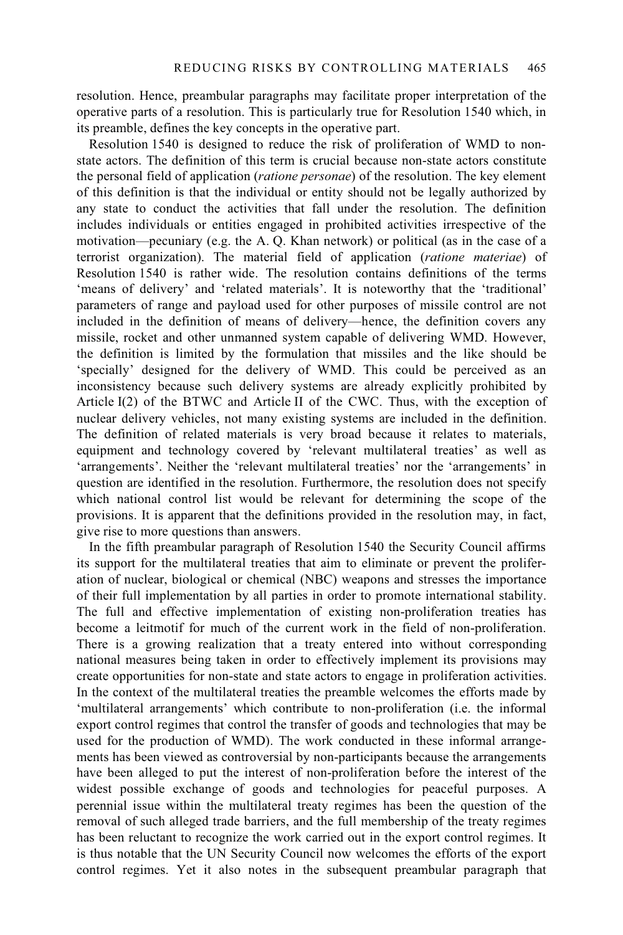resolution. Hence, preambular paragraphs may facilitate proper interpretation of the operative parts of a resolution. This is particularly true for Resolution 1540 which, in its preamble, defines the key concepts in the operative part.

Resolution 1540 is designed to reduce the risk of proliferation of WMD to nonstate actors. The definition of this term is crucial because non-state actors constitute the personal field of application (*ratione personae*) of the resolution. The key element of this definition is that the individual or entity should not be legally authorized by any state to conduct the activities that fall under the resolution. The definition includes individuals or entities engaged in prohibited activities irrespective of the motivation—pecuniary (e.g. the A. Q. Khan network) or political (as in the case of a terrorist organization). The material field of application (*ratione materiae*) of Resolution 1540 is rather wide. The resolution contains definitions of the terms 'means of delivery' and 'related materials'. It is noteworthy that the 'traditional' parameters of range and payload used for other purposes of missile control are not included in the definition of means of delivery—hence, the definition covers any missile, rocket and other unmanned system capable of delivering WMD. However, the definition is limited by the formulation that missiles and the like should be 'specially' designed for the delivery of WMD. This could be perceived as an inconsistency because such delivery systems are already explicitly prohibited by Article I(2) of the BTWC and Article II of the CWC. Thus, with the exception of nuclear delivery vehicles, not many existing systems are included in the definition. The definition of related materials is very broad because it relates to materials, equipment and technology covered by 'relevant multilateral treaties' as well as 'arrangements'. Neither the 'relevant multilateral treaties' nor the 'arrangements' in question are identified in the resolution. Furthermore, the resolution does not specify which national control list would be relevant for determining the scope of the provisions. It is apparent that the definitions provided in the resolution may, in fact, give rise to more questions than answers.

In the fifth preambular paragraph of Resolution 1540 the Security Council affirms its support for the multilateral treaties that aim to eliminate or prevent the proliferation of nuclear, biological or chemical (NBC) weapons and stresses the importance of their full implementation by all parties in order to promote international stability. The full and effective implementation of existing non-proliferation treaties has become a leitmotif for much of the current work in the field of non-proliferation. There is a growing realization that a treaty entered into without corresponding national measures being taken in order to effectively implement its provisions may create opportunities for non-state and state actors to engage in proliferation activities. In the context of the multilateral treaties the preamble welcomes the efforts made by 'multilateral arrangements' which contribute to non-proliferation (i.e. the informal export control regimes that control the transfer of goods and technologies that may be used for the production of WMD). The work conducted in these informal arrangements has been viewed as controversial by non-participants because the arrangements have been alleged to put the interest of non-proliferation before the interest of the widest possible exchange of goods and technologies for peaceful purposes. A perennial issue within the multilateral treaty regimes has been the question of the removal of such alleged trade barriers, and the full membership of the treaty regimes has been reluctant to recognize the work carried out in the export control regimes. It is thus notable that the UN Security Council now welcomes the efforts of the export control regimes. Yet it also notes in the subsequent preambular paragraph that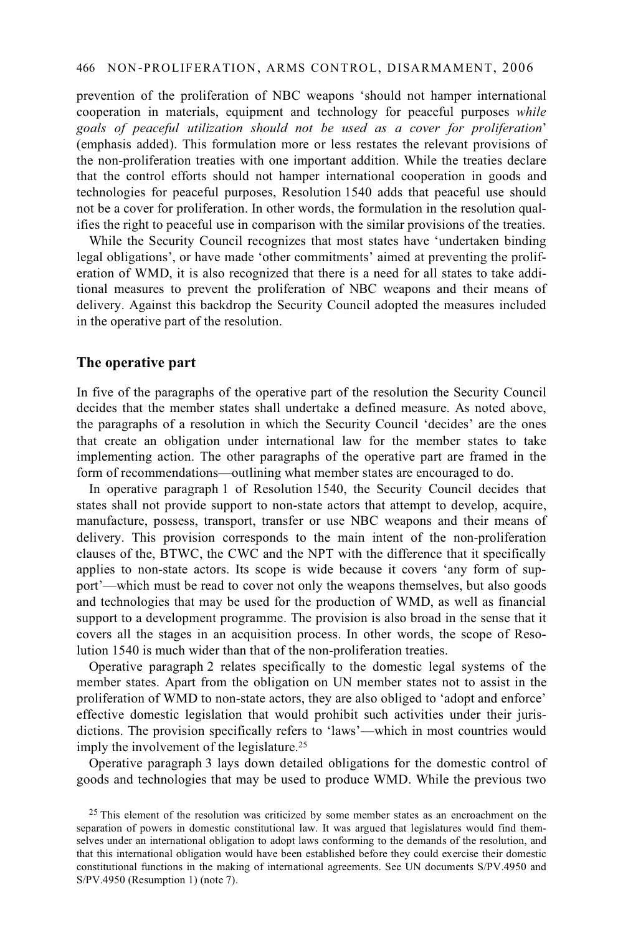prevention of the proliferation of NBC weapons 'should not hamper international cooperation in materials, equipment and technology for peaceful purposes *while goals of peaceful utilization should not be used as a cover for proliferation*' (emphasis added). This formulation more or less restates the relevant provisions of the non-proliferation treaties with one important addition. While the treaties declare that the control efforts should not hamper international cooperation in goods and technologies for peaceful purposes, Resolution 1540 adds that peaceful use should not be a cover for proliferation. In other words, the formulation in the resolution qualifies the right to peaceful use in comparison with the similar provisions of the treaties.

While the Security Council recognizes that most states have 'undertaken binding legal obligations', or have made 'other commitments' aimed at preventing the proliferation of WMD, it is also recognized that there is a need for all states to take additional measures to prevent the proliferation of NBC weapons and their means of delivery. Against this backdrop the Security Council adopted the measures included in the operative part of the resolution.

#### **The operative part**

In five of the paragraphs of the operative part of the resolution the Security Council decides that the member states shall undertake a defined measure. As noted above, the paragraphs of a resolution in which the Security Council 'decides' are the ones that create an obligation under international law for the member states to take implementing action. The other paragraphs of the operative part are framed in the form of recommendations—outlining what member states are encouraged to do.

In operative paragraph 1 of Resolution 1540, the Security Council decides that states shall not provide support to non-state actors that attempt to develop, acquire, manufacture, possess, transport, transfer or use NBC weapons and their means of delivery. This provision corresponds to the main intent of the non-proliferation clauses of the, BTWC, the CWC and the NPT with the difference that it specifically applies to non-state actors. Its scope is wide because it covers 'any form of support'—which must be read to cover not only the weapons themselves, but also goods and technologies that may be used for the production of WMD, as well as financial support to a development programme. The provision is also broad in the sense that it covers all the stages in an acquisition process. In other words, the scope of Resolution 1540 is much wider than that of the non-proliferation treaties.

Operative paragraph 2 relates specifically to the domestic legal systems of the member states. Apart from the obligation on UN member states not to assist in the proliferation of WMD to non-state actors, they are also obliged to 'adopt and enforce' effective domestic legislation that would prohibit such activities under their jurisdictions. The provision specifically refers to 'laws'—which in most countries would imply the involvement of the legislature.<sup>25</sup>

Operative paragraph 3 lays down detailed obligations for the domestic control of goods and technologies that may be used to produce WMD. While the previous two

 $25$  This element of the resolution was criticized by some member states as an encroachment on the separation of powers in domestic constitutional law. It was argued that legislatures would find themselves under an international obligation to adopt laws conforming to the demands of the resolution, and that this international obligation would have been established before they could exercise their domestic constitutional functions in the making of international agreements. See UN documents S/PV.4950 and S/PV.4950 (Resumption 1) (note 7).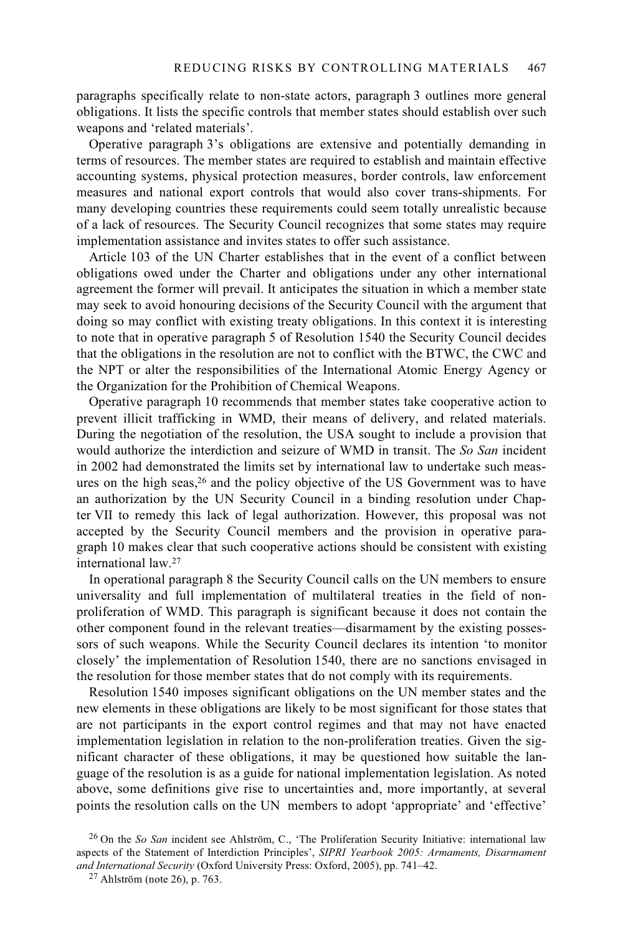paragraphs specifically relate to non-state actors, paragraph 3 outlines more general obligations. It lists the specific controls that member states should establish over such weapons and 'related materials'.

Operative paragraph 3's obligations are extensive and potentially demanding in terms of resources. The member states are required to establish and maintain effective accounting systems, physical protection measures, border controls, law enforcement measures and national export controls that would also cover trans-shipments. For many developing countries these requirements could seem totally unrealistic because of a lack of resources. The Security Council recognizes that some states may require implementation assistance and invites states to offer such assistance.

Article 103 of the UN Charter establishes that in the event of a conflict between obligations owed under the Charter and obligations under any other international agreement the former will prevail. It anticipates the situation in which a member state may seek to avoid honouring decisions of the Security Council with the argument that doing so may conflict with existing treaty obligations. In this context it is interesting to note that in operative paragraph 5 of Resolution 1540 the Security Council decides that the obligations in the resolution are not to conflict with the BTWC, the CWC and the NPT or alter the responsibilities of the International Atomic Energy Agency or the Organization for the Prohibition of Chemical Weapons.

Operative paragraph 10 recommends that member states take cooperative action to prevent illicit trafficking in WMD, their means of delivery, and related materials. During the negotiation of the resolution, the USA sought to include a provision that would authorize the interdiction and seizure of WMD in transit. The *So San* incident in 2002 had demonstrated the limits set by international law to undertake such measures on the high seas,<sup>26</sup> and the policy objective of the US Government was to have an authorization by the UN Security Council in a binding resolution under Chapter VII to remedy this lack of legal authorization. However, this proposal was not accepted by the Security Council members and the provision in operative paragraph 10 makes clear that such cooperative actions should be consistent with existing international law.27

In operational paragraph 8 the Security Council calls on the UN members to ensure universality and full implementation of multilateral treaties in the field of nonproliferation of WMD. This paragraph is significant because it does not contain the other component found in the relevant treaties—disarmament by the existing possessors of such weapons. While the Security Council declares its intention 'to monitor closely' the implementation of Resolution 1540, there are no sanctions envisaged in the resolution for those member states that do not comply with its requirements.

Resolution 1540 imposes significant obligations on the UN member states and the new elements in these obligations are likely to be most significant for those states that are not participants in the export control regimes and that may not have enacted implementation legislation in relation to the non-proliferation treaties. Given the significant character of these obligations, it may be questioned how suitable the language of the resolution is as a guide for national implementation legislation. As noted above, some definitions give rise to uncertainties and, more importantly, at several points the resolution calls on the UN members to adopt 'appropriate' and 'effective'

<sup>26</sup> On the *So San* incident see Ahlström, C., 'The Proliferation Security Initiative: international law aspects of the Statement of Interdiction Principles', *SIPRI Yearbook 2005: Armaments, Disarmament and International Security* (Oxford University Press: Oxford, 2005), pp. 741–42. 27 Ahlström (note 26), p. 763.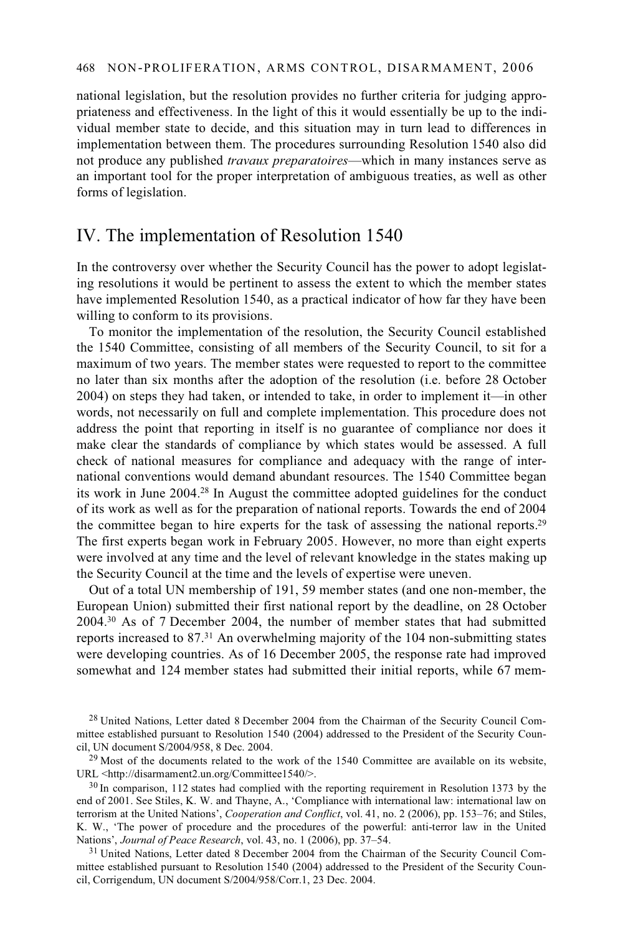national legislation, but the resolution provides no further criteria for judging appropriateness and effectiveness. In the light of this it would essentially be up to the individual member state to decide, and this situation may in turn lead to differences in implementation between them. The procedures surrounding Resolution 1540 also did not produce any published *travaux preparatoires*—which in many instances serve as an important tool for the proper interpretation of ambiguous treaties, as well as other forms of legislation.

## IV. The implementation of Resolution 1540

In the controversy over whether the Security Council has the power to adopt legislating resolutions it would be pertinent to assess the extent to which the member states have implemented Resolution 1540, as a practical indicator of how far they have been willing to conform to its provisions.

To monitor the implementation of the resolution, the Security Council established the 1540 Committee, consisting of all members of the Security Council, to sit for a maximum of two years. The member states were requested to report to the committee no later than six months after the adoption of the resolution (i.e. before 28 October 2004) on steps they had taken, or intended to take, in order to implement it—in other words, not necessarily on full and complete implementation. This procedure does not address the point that reporting in itself is no guarantee of compliance nor does it make clear the standards of compliance by which states would be assessed. A full check of national measures for compliance and adequacy with the range of international conventions would demand abundant resources. The 1540 Committee began its work in June 2004.28 In August the committee adopted guidelines for the conduct of its work as well as for the preparation of national reports. Towards the end of 2004 the committee began to hire experts for the task of assessing the national reports.29 The first experts began work in February 2005. However, no more than eight experts were involved at any time and the level of relevant knowledge in the states making up the Security Council at the time and the levels of expertise were uneven.

Out of a total UN membership of 191, 59 member states (and one non-member, the European Union) submitted their first national report by the deadline, on 28 October 2004.30 As of 7 December 2004, the number of member states that had submitted reports increased to 87.31 An overwhelming majority of the 104 non-submitting states were developing countries. As of 16 December 2005, the response rate had improved somewhat and 124 member states had submitted their initial reports, while 67 mem-

<sup>31</sup> United Nations, Letter dated 8 December 2004 from the Chairman of the Security Council Committee established pursuant to Resolution 1540 (2004) addressed to the President of the Security Council, Corrigendum, UN document S/2004/958/Corr.1, 23 Dec. 2004.

<sup>&</sup>lt;sup>28</sup> United Nations, Letter dated 8 December 2004 from the Chairman of the Security Council Committee established pursuant to Resolution 1540 (2004) addressed to the President of the Security Coun-<br>cil. UN document S/2004/958, 8 Dec. 2004.

<sup>&</sup>lt;sup>29</sup> Most of the documents related to the work of the 1540 Committee are available on its website, URL <http://disarmament2.un.org/Committee 1540/>.

 $30$  In comparison, 112 states had complied with the reporting requirement in Resolution 1373 by the end of 2001. See Stiles, K. W. and Thayne, A., 'Compliance with international law: international law on terrorism at the United Nations', *Cooperation and Conflict*, vol. 41, no. 2 (2006), pp. 153–76; and Stiles, K. W., 'The power of procedure and the procedures of the powerful: anti-terror law in the United Nations', *Journal of Peace Research*, vol. 43, no. 1 (2006), pp. 37–54.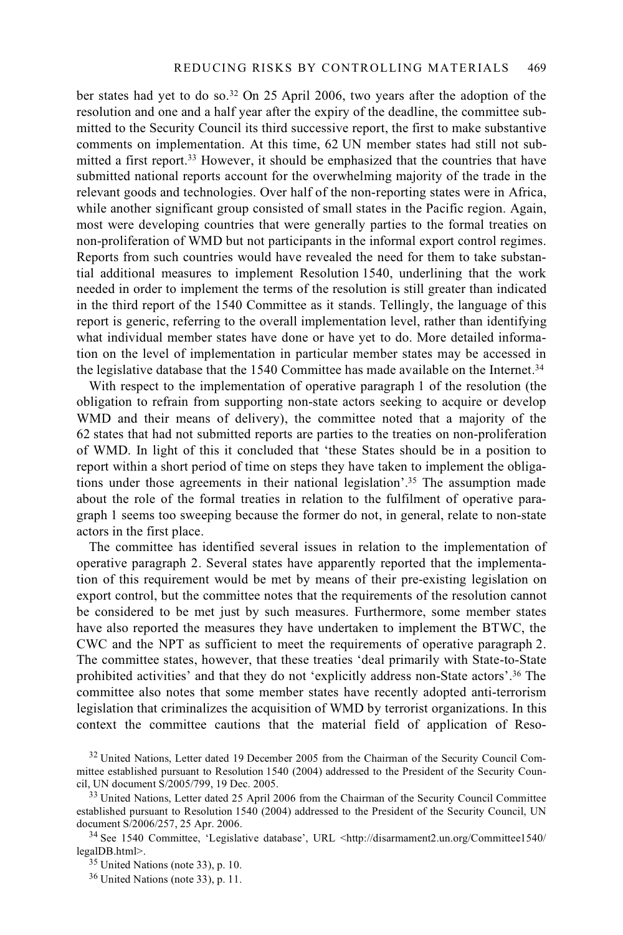ber states had yet to do so.32 On 25 April 2006, two years after the adoption of the resolution and one and a half year after the expiry of the deadline, the committee submitted to the Security Council its third successive report, the first to make substantive comments on implementation. At this time, 62 UN member states had still not submitted a first report.33 However, it should be emphasized that the countries that have submitted national reports account for the overwhelming majority of the trade in the relevant goods and technologies. Over half of the non-reporting states were in Africa, while another significant group consisted of small states in the Pacific region. Again, most were developing countries that were generally parties to the formal treaties on non-proliferation of WMD but not participants in the informal export control regimes. Reports from such countries would have revealed the need for them to take substantial additional measures to implement Resolution 1540, underlining that the work needed in order to implement the terms of the resolution is still greater than indicated in the third report of the 1540 Committee as it stands. Tellingly, the language of this report is generic, referring to the overall implementation level, rather than identifying what individual member states have done or have yet to do. More detailed information on the level of implementation in particular member states may be accessed in the legislative database that the 1540 Committee has made available on the Internet.<sup>34</sup>

With respect to the implementation of operative paragraph 1 of the resolution (the obligation to refrain from supporting non-state actors seeking to acquire or develop WMD and their means of delivery), the committee noted that a majority of the 62 states that had not submitted reports are parties to the treaties on non-proliferation of WMD. In light of this it concluded that 'these States should be in a position to report within a short period of time on steps they have taken to implement the obligations under those agreements in their national legislation'.35 The assumption made about the role of the formal treaties in relation to the fulfilment of operative paragraph 1 seems too sweeping because the former do not, in general, relate to non-state actors in the first place.

The committee has identified several issues in relation to the implementation of operative paragraph 2. Several states have apparently reported that the implementation of this requirement would be met by means of their pre-existing legislation on export control, but the committee notes that the requirements of the resolution cannot be considered to be met just by such measures. Furthermore, some member states have also reported the measures they have undertaken to implement the BTWC, the CWC and the NPT as sufficient to meet the requirements of operative paragraph 2. The committee states, however, that these treaties 'deal primarily with State-to-State prohibited activities' and that they do not 'explicitly address non-State actors'.36 The committee also notes that some member states have recently adopted anti-terrorism legislation that criminalizes the acquisition of WMD by terrorist organizations. In this context the committee cautions that the material field of application of Reso-

<sup>&</sup>lt;sup>32</sup> United Nations, Letter dated 19 December 2005 from the Chairman of the Security Council Committee established pursuant to Resolution 1540 (2004) addressed to the President of the Security Coun-<br>cil, UN document S/2005/799, 19 Dec. 2005.

<sup>&</sup>lt;sup>33</sup> United Nations, Letter dated 25 April 2006 from the Chairman of the Security Council Committee established pursuant to Resolution 1540 (2004) addressed to the President of the Security Council, UN document S/2006/257, 25 Apr. 2006.

<sup>&</sup>lt;sup>34</sup> See 1540 Committee, 'Legislative database', URL <http://disarmament2.un.org/Committee1540/<br>legalDB.html>.

 $35$  United Nations (note 33), p. 10.

<sup>36</sup> United Nations (note 33), p. 11.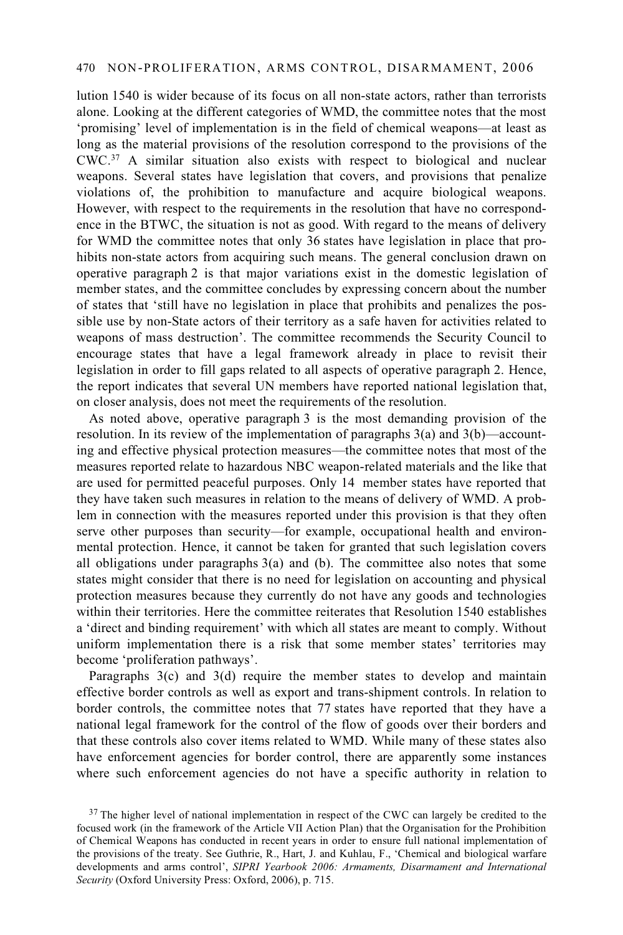lution 1540 is wider because of its focus on all non-state actors, rather than terrorists alone. Looking at the different categories of WMD, the committee notes that the most 'promising' level of implementation is in the field of chemical weapons—at least as long as the material provisions of the resolution correspond to the provisions of the CWC.37 A similar situation also exists with respect to biological and nuclear weapons. Several states have legislation that covers, and provisions that penalize violations of, the prohibition to manufacture and acquire biological weapons. However, with respect to the requirements in the resolution that have no correspondence in the BTWC, the situation is not as good. With regard to the means of delivery for WMD the committee notes that only 36 states have legislation in place that prohibits non-state actors from acquiring such means. The general conclusion drawn on operative paragraph 2 is that major variations exist in the domestic legislation of member states, and the committee concludes by expressing concern about the number of states that 'still have no legislation in place that prohibits and penalizes the possible use by non-State actors of their territory as a safe haven for activities related to weapons of mass destruction'. The committee recommends the Security Council to encourage states that have a legal framework already in place to revisit their legislation in order to fill gaps related to all aspects of operative paragraph 2. Hence, the report indicates that several UN members have reported national legislation that, on closer analysis, does not meet the requirements of the resolution.

As noted above, operative paragraph 3 is the most demanding provision of the resolution. In its review of the implementation of paragraphs 3(a) and 3(b)—accounting and effective physical protection measures—the committee notes that most of the measures reported relate to hazardous NBC weapon-related materials and the like that are used for permitted peaceful purposes. Only 14 member states have reported that they have taken such measures in relation to the means of delivery of WMD. A problem in connection with the measures reported under this provision is that they often serve other purposes than security—for example, occupational health and environmental protection. Hence, it cannot be taken for granted that such legislation covers all obligations under paragraphs  $3(a)$  and (b). The committee also notes that some states might consider that there is no need for legislation on accounting and physical protection measures because they currently do not have any goods and technologies within their territories. Here the committee reiterates that Resolution 1540 establishes a 'direct and binding requirement' with which all states are meant to comply. Without uniform implementation there is a risk that some member states' territories may become 'proliferation pathways'.

Paragraphs  $3(c)$  and  $3(d)$  require the member states to develop and maintain effective border controls as well as export and trans-shipment controls. In relation to border controls, the committee notes that 77 states have reported that they have a national legal framework for the control of the flow of goods over their borders and that these controls also cover items related to WMD. While many of these states also have enforcement agencies for border control, there are apparently some instances where such enforcement agencies do not have a specific authority in relation to

 $37$  The higher level of national implementation in respect of the CWC can largely be credited to the focused work (in the framework of the Article VII Action Plan) that the Organisation for the Prohibition of Chemical Weapons has conducted in recent years in order to ensure full national implementation of the provisions of the treaty. See Guthrie, R., Hart, J. and Kuhlau, F., 'Chemical and biological warfare developments and arms control', *SIPRI Yearbook 2006: Armaments, Disarmament and International Security* (Oxford University Press: Oxford, 2006), p. 715.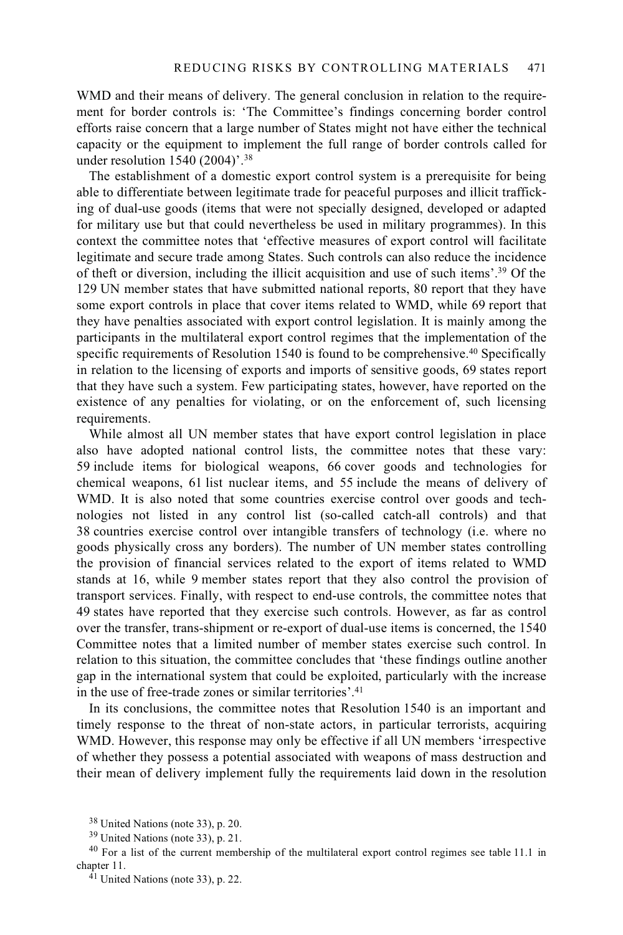WMD and their means of delivery. The general conclusion in relation to the requirement for border controls is: 'The Committee's findings concerning border control efforts raise concern that a large number of States might not have either the technical capacity or the equipment to implement the full range of border controls called for under resolution 1540 (2004)'.38

The establishment of a domestic export control system is a prerequisite for being able to differentiate between legitimate trade for peaceful purposes and illicit trafficking of dual-use goods (items that were not specially designed, developed or adapted for military use but that could nevertheless be used in military programmes). In this context the committee notes that 'effective measures of export control will facilitate legitimate and secure trade among States. Such controls can also reduce the incidence of theft or diversion, including the illicit acquisition and use of such items'.39 Of the 129 UN member states that have submitted national reports, 80 report that they have some export controls in place that cover items related to WMD, while 69 report that they have penalties associated with export control legislation. It is mainly among the participants in the multilateral export control regimes that the implementation of the specific requirements of Resolution 1540 is found to be comprehensive.<sup>40</sup> Specifically in relation to the licensing of exports and imports of sensitive goods, 69 states report that they have such a system. Few participating states, however, have reported on the existence of any penalties for violating, or on the enforcement of, such licensing requirements.

While almost all UN member states that have export control legislation in place also have adopted national control lists, the committee notes that these vary: 59 include items for biological weapons, 66 cover goods and technologies for chemical weapons, 61 list nuclear items, and 55 include the means of delivery of WMD. It is also noted that some countries exercise control over goods and technologies not listed in any control list (so-called catch-all controls) and that 38 countries exercise control over intangible transfers of technology (i.e. where no goods physically cross any borders). The number of UN member states controlling the provision of financial services related to the export of items related to WMD stands at 16, while 9 member states report that they also control the provision of transport services. Finally, with respect to end-use controls, the committee notes that 49 states have reported that they exercise such controls. However, as far as control over the transfer, trans-shipment or re-export of dual-use items is concerned, the 1540 Committee notes that a limited number of member states exercise such control. In relation to this situation, the committee concludes that 'these findings outline another gap in the international system that could be exploited, particularly with the increase in the use of free-trade zones or similar territories'.41

In its conclusions, the committee notes that Resolution 1540 is an important and timely response to the threat of non-state actors, in particular terrorists, acquiring WMD. However, this response may only be effective if all UN members 'irrespective of whether they possess a potential associated with weapons of mass destruction and their mean of delivery implement fully the requirements laid down in the resolution

<sup>38</sup> United Nations (note 33), p. 20.

<sup>39</sup> United Nations (note 33), p. 21.

<sup>40</sup> For a list of the current membership of the multilateral export control regimes see table 11.1 in chapter 11. 41 United Nations (note 33), p. 22.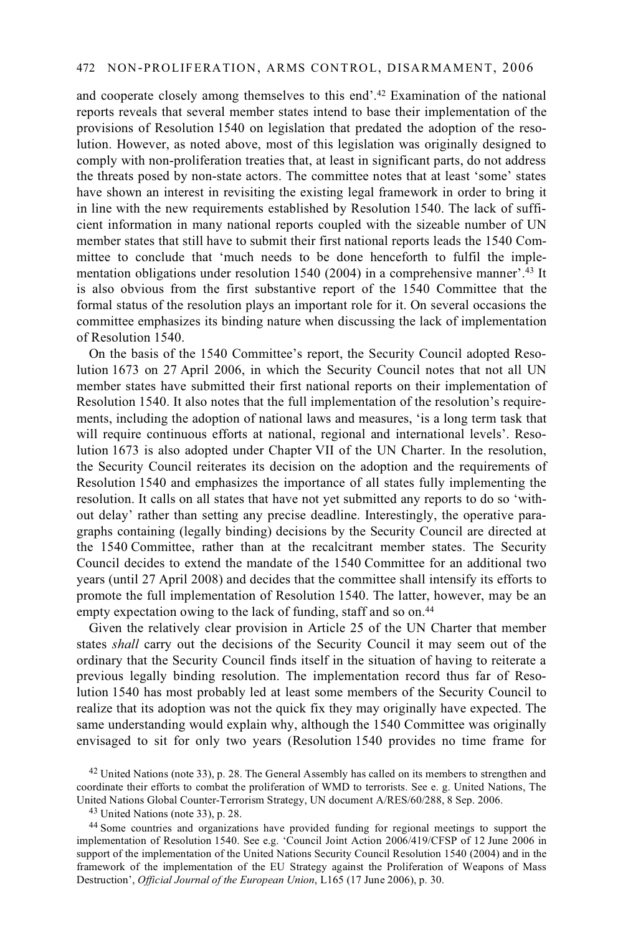and cooperate closely among themselves to this end'.42 Examination of the national reports reveals that several member states intend to base their implementation of the provisions of Resolution 1540 on legislation that predated the adoption of the resolution. However, as noted above, most of this legislation was originally designed to comply with non-proliferation treaties that, at least in significant parts, do not address the threats posed by non-state actors. The committee notes that at least 'some' states have shown an interest in revisiting the existing legal framework in order to bring it in line with the new requirements established by Resolution 1540. The lack of sufficient information in many national reports coupled with the sizeable number of UN member states that still have to submit their first national reports leads the 1540 Committee to conclude that 'much needs to be done henceforth to fulfil the implementation obligations under resolution 1540 (2004) in a comprehensive manner'.43 It is also obvious from the first substantive report of the 1540 Committee that the formal status of the resolution plays an important role for it. On several occasions the committee emphasizes its binding nature when discussing the lack of implementation of Resolution 1540.

On the basis of the 1540 Committee's report, the Security Council adopted Resolution 1673 on 27 April 2006, in which the Security Council notes that not all UN member states have submitted their first national reports on their implementation of Resolution 1540. It also notes that the full implementation of the resolution's requirements, including the adoption of national laws and measures, 'is a long term task that will require continuous efforts at national, regional and international levels'. Resolution 1673 is also adopted under Chapter VII of the UN Charter. In the resolution, the Security Council reiterates its decision on the adoption and the requirements of Resolution 1540 and emphasizes the importance of all states fully implementing the resolution. It calls on all states that have not yet submitted any reports to do so 'without delay' rather than setting any precise deadline. Interestingly, the operative paragraphs containing (legally binding) decisions by the Security Council are directed at the 1540 Committee, rather than at the recalcitrant member states. The Security Council decides to extend the mandate of the 1540 Committee for an additional two years (until 27 April 2008) and decides that the committee shall intensify its efforts to promote the full implementation of Resolution 1540. The latter, however, may be an empty expectation owing to the lack of funding, staff and so on.<sup>44</sup>

Given the relatively clear provision in Article 25 of the UN Charter that member states *shall* carry out the decisions of the Security Council it may seem out of the ordinary that the Security Council finds itself in the situation of having to reiterate a previous legally binding resolution. The implementation record thus far of Resolution 1540 has most probably led at least some members of the Security Council to realize that its adoption was not the quick fix they may originally have expected. The same understanding would explain why, although the 1540 Committee was originally envisaged to sit for only two years (Resolution 1540 provides no time frame for

<sup>42</sup> United Nations (note 33), p. 28. The General Assembly has called on its members to strengthen and coordinate their efforts to combat the proliferation of WMD to terrorists. See e. g. United Nations, The United Nations Global Counter-Terrorism Strategy, UN document A/RES/60/288, 8 Sep. 2006. 43 United Nations (note 33), p. 28.

<sup>44</sup> Some countries and organizations have provided funding for regional meetings to support the implementation of Resolution 1540. See e.g. 'Council Joint Action 2006/419/CFSP of 12 June 2006 in support of the implementation of the United Nations Security Council Resolution 1540 (2004) and in the framework of the implementation of the EU Strategy against the Proliferation of Weapons of Mass Destruction', *Official Journal of the European Union*, L165 (17 June 2006), p. 30.